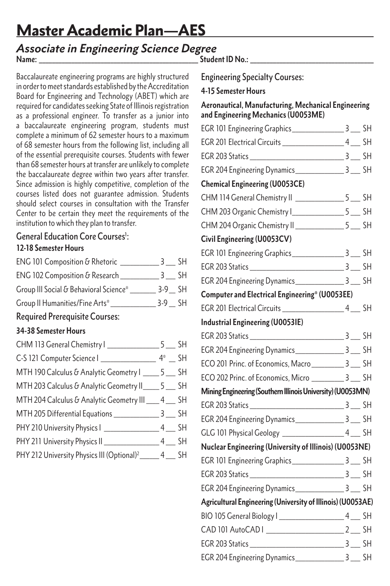# Master Academic Plan—AES

#### Name: **Name:** *Mame***: <b>***Parameters Mame***:** *Parameters Parameters Parameters Parameters* **<b>***Parameters Parameters Parameters Associate in Engineering Science Degree*

Baccalaureate engineering programs are highly structured in order to meet standards established by the Accreditation Board for Engineering and Technology (ABET) which are required for candidates seeking State of Illinois registration as a professional engineer. To transfer as a junior into a baccalaureate engineering program, students must complete a minimum of 62 semester hours to a maximum of 68 semester hours from the following list, including all of the essential prerequisite courses. Students with fewer than 68 semester hours at transfer are unlikely to complete the baccalaureate degree within two years after transfer. Since admission is highly competitive, completion of the courses listed does not guarantee admission. Students should select courses in consultation with the Transfer Center to be certain they meet the requirements of the institution to which they plan to transfer.

# General Education Core Courses<sup>1</sup>:

### **12-18 Semester Hours**

| Group III Social & Behavioral Science* _________ 3-9 __ SH |                |
|------------------------------------------------------------|----------------|
|                                                            |                |
| <b>Required Prerequisite Courses:</b>                      |                |
| 34-38 Semester Hours                                       |                |
|                                                            |                |
|                                                            |                |
| MTH 190 Calculus & Analytic Geometry I _____ 5 ___ SH      |                |
| MTH 203 Calculus & Analytic Geometry II _____ 5 ___ SH     |                |
| MTH 2016 Calculus & Anglytic Coometry III 1                | C <sub>1</sub> |

# MTH 204 Calculus & Analytic Geometry III \_\_\_\_ 4 \_\_\_ SH MTH 205 Differential Equations 3 5H PHY 210 University Physics | \_\_\_\_\_\_\_\_\_\_\_\_\_\_\_\_\_\_\_ 4 \_\_\_ SH

| PHY 211 University Physics II                          | <b>SH</b> |
|--------------------------------------------------------|-----------|
| PHY 212 University Physics III (Optional) <sup>2</sup> | SН        |

Engineering Specialty Courses:

## **4-15 Semester Hours**

#### **Aeronautical, Manufacturing, Mechanical Engineering and Engineering Mechanics (U0053ME)**

| <b>Chemical Engineering (U0053CE)</b>                       |  |
|-------------------------------------------------------------|--|
| CHM 114 General Chemistry II ________________5 ___ SH       |  |
| CHM 203 Organic Chemistry I__________________5 ____ SH      |  |
| CHM 204 Organic Chemistry II ________________5 ___ SH       |  |
| Civil Engineering (U0053CV)                                 |  |
|                                                             |  |
|                                                             |  |
| EGR 204 Engineering Dynamics__________________ 3 ____ SH    |  |
| Computer and Electrical Engineering* (U0053EE)              |  |
|                                                             |  |
| <b>Industrial Engineering (U0053IE)</b>                     |  |
|                                                             |  |
|                                                             |  |
| ECO 201 Princ. of Economics, Macro ___________ 3 ___ SH     |  |
| ECO 202 Princ. of Economics, Micro ___________ 3 ___ SH     |  |
| Mining Engineering (Southern Illinois University) (U0053MN) |  |
|                                                             |  |
| EGR 204 Engineering Dynamics ____________________ 3 ____ SH |  |
|                                                             |  |
| Nuclear Engineering (University of Illinois) (U0053NE)      |  |
| EGR 101 Engineering Graphics ____________________ 3 ___ SH  |  |
|                                                             |  |
| EGR 204 Engineering Dynamics__________________ 3 ___ SH     |  |
| Agricultural Engineering (University of Illinois) (U0053AE) |  |
|                                                             |  |
|                                                             |  |
|                                                             |  |
|                                                             |  |